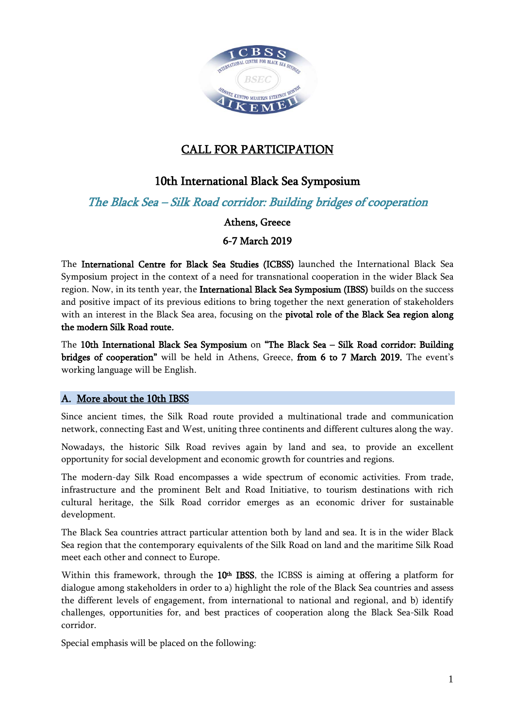

# CALL FOR PARTICIPATION

# 10th International Black Sea Symposium

The Black Sea – Silk Road corridor: Building bridges of cooperation

### Athens, Greece

## 6-7 March 2019

The International Centre for Black Sea Studies (ICBSS) launched the International Black Sea Symposium project in the context of a need for transnational cooperation in the wider Black Sea region. Now, in its tenth year, the International Black Sea Symposium (IBSS) builds on the success and positive impact of its previous editions to bring together the next generation of stakeholders with an interest in the Black Sea area, focusing on the pivotal role of the Black Sea region along the modern Silk Road route.

The 10th International Black Sea Symposium on "The Black Sea – Silk Road corridor: Building bridges of cooperation" will be held in Athens, Greece, from 6 to 7 March 2019. The event's working language will be English.

### A. More about the 10th IBSS

Since ancient times, the Silk Road route provided a multinational trade and communication network, connecting East and West, uniting three continents and different cultures along the way.

Nowadays, the historic Silk Road revives again by land and sea, to provide an excellent opportunity for social development and economic growth for countries and regions.

The modern-day Silk Road encompasses a wide spectrum of economic activities. From trade, infrastructure and the prominent Belt and Road Initiative, to tourism destinations with rich cultural heritage, the Silk Road corridor emerges as an economic driver for sustainable development.

The Black Sea countries attract particular attention both by land and sea. It is in the wider Black Sea region that the contemporary equivalents of the Silk Road on land and the maritime Silk Road meet each other and connect to Europe.

Within this framework, through the  $10<sup>th</sup>$  IBSS, the ICBSS is aiming at offering a platform for dialogue among stakeholders in order to a) highlight the role of the Black Sea countries and assess the different levels of engagement, from international to national and regional, and b) identify challenges, opportunities for, and best practices of cooperation along the Black Sea-Silk Road corridor.

Special emphasis will be placed on the following: